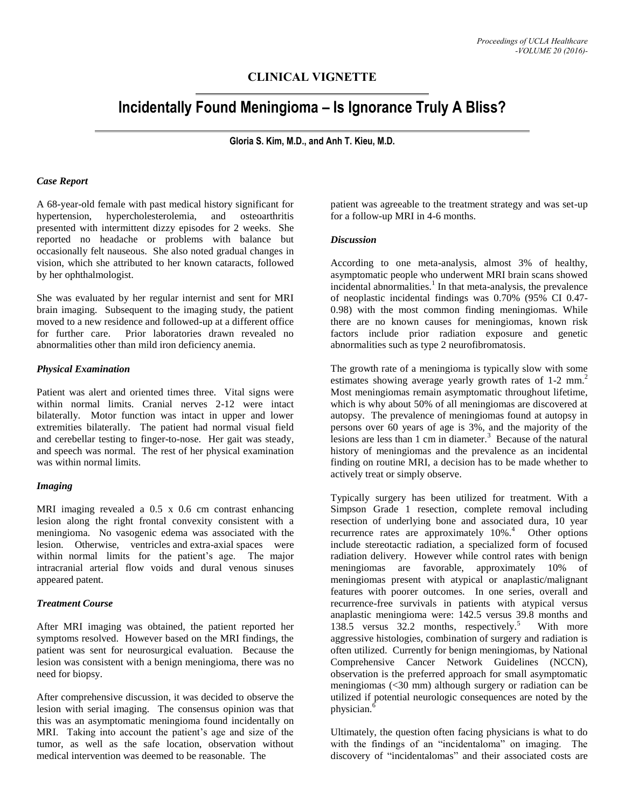# **CLINICAL VIGNETTE**

# **Incidentally Found Meningioma – Is Ignorance Truly A Bliss?**

**Gloria S. Kim, M.D., and Anh T. Kieu, M.D.**

#### *Case Report*

A 68-year-old female with past medical history significant for hypertension, hypercholesterolemia, and osteoarthritis presented with intermittent dizzy episodes for 2 weeks. She reported no headache or problems with balance but occasionally felt nauseous. She also noted gradual changes in vision, which she attributed to her known cataracts, followed by her ophthalmologist.

She was evaluated by her regular internist and sent for MRI brain imaging. Subsequent to the imaging study, the patient moved to a new residence and followed-up at a different office for further care. Prior laboratories drawn revealed no abnormalities other than mild iron deficiency anemia.

#### *Physical Examination*

Patient was alert and oriented times three. Vital signs were within normal limits. Cranial nerves 2-12 were intact bilaterally. Motor function was intact in upper and lower extremities bilaterally. The patient had normal visual field and cerebellar testing to finger-to-nose. Her gait was steady, and speech was normal. The rest of her physical examination was within normal limits.

#### *Imaging*

MRI imaging revealed a  $0.5 \times 0.6$  cm contrast enhancing lesion along the right frontal convexity consistent with a meningioma. No vasogenic edema was associated with the lesion. Otherwise, ventricles and extra-axial spaces were within normal limits for the patient's age. The major intracranial arterial flow voids and dural venous sinuses appeared patent.

#### *Treatment Course*

After MRI imaging was obtained, the patient reported her symptoms resolved. However based on the MRI findings, the patient was sent for neurosurgical evaluation. Because the lesion was consistent with a benign meningioma, there was no need for biopsy.

After comprehensive discussion, it was decided to observe the lesion with serial imaging. The consensus opinion was that this was an asymptomatic meningioma found incidentally on MRI. Taking into account the patient's age and size of the tumor, as well as the safe location, observation without medical intervention was deemed to be reasonable. The

patient was agreeable to the treatment strategy and was set-up for a follow-up MRI in 4-6 months.

#### *Discussion*

According to one meta-analysis, almost 3% of healthy, asymptomatic people who underwent MRI brain scans showed incidental abnormalities.<sup>1</sup> In that meta-analysis, the prevalence of neoplastic incidental findings was 0.70% (95% CI 0.47- 0.98) with the most common finding meningiomas. While there are no known causes for meningiomas, known risk factors include prior radiation exposure and genetic abnormalities such as type 2 neurofibromatosis.

The growth rate of a meningioma is typically slow with some estimates showing average yearly growth rates of 1-2 mm.<sup>2</sup> Most meningiomas remain asymptomatic throughout lifetime, which is why about 50% of all meningiomas are discovered at autopsy. The prevalence of meningiomas found at autopsy in persons over 60 years of age is 3%, and the majority of the lesions are less than  $1 \text{ cm}$  in diameter.<sup>3</sup> Because of the natural history of meningiomas and the prevalence as an incidental finding on routine MRI, a decision has to be made whether to actively treat or simply observe.

Typically surgery has been utilized for treatment. With a Simpson Grade 1 resection, complete removal including resection of underlying bone and associated dura, 10 year recurrence rates are approximately 10%.<sup>4</sup> Other options include stereotactic radiation, a specialized form of focused radiation delivery. However while control rates with benign meningiomas are favorable, approximately 10% of meningiomas present with atypical or anaplastic/malignant features with poorer outcomes. In one series, overall and recurrence-free survivals in patients with atypical versus anaplastic meningioma were: 142.5 versus 39.8 months and 138.5 versus 32.2 months, respectively.<sup>5</sup> With more aggressive histologies, combination of surgery and radiation is often utilized. Currently for benign meningiomas, by National Comprehensive Cancer Network Guidelines (NCCN), observation is the preferred approach for small asymptomatic meningiomas (<30 mm) although surgery or radiation can be utilized if potential neurologic consequences are noted by the physician.<sup>6</sup>

Ultimately, the question often facing physicians is what to do with the findings of an "incidentaloma" on imaging. The discovery of "incidentalomas" and their associated costs are